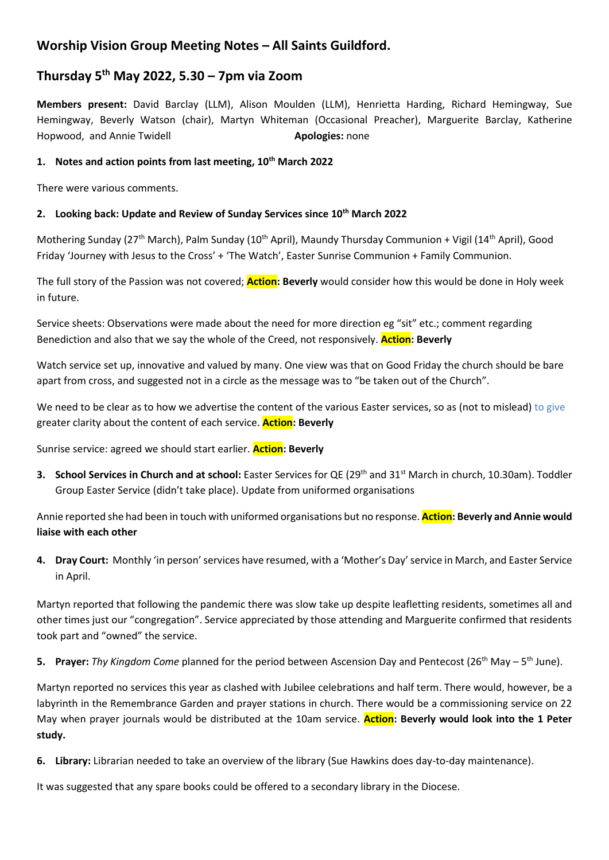# **Worship Vision Group Meeting Notes – All Saints Guildford.**

# **Thursday 5th May 2022, 5.30 – 7pm via Zoom**

**Members present:** David Barclay (LLM), Alison Moulden (LLM), Henrietta Harding, Richard Hemingway, Sue Hemingway, Beverly Watson (chair), Martyn Whiteman (Occasional Preacher), Marguerite Barclay, Katherine Hopwood, and Annie Twidell **Apologies:** none

## **1. Notes and action points from last meeting, 10th March 2022**

There were various comments.

## **2. Looking back: Update and Review of Sunday Services since 10th March 2022**

Mothering Sunday (27<sup>th</sup> March), Palm Sunday (10<sup>th</sup> April), Maundy Thursday Communion + Vigil (14<sup>th</sup> April), Good Friday 'Journey with Jesus to the Cross' + 'The Watch', Easter Sunrise Communion + Family Communion.

The full story of the Passion was not covered; **Action: Beverly** would consider how this would be done in Holy week in future.

Service sheets: Observations were made about the need for more direction eg "sit" etc.; comment regarding Benediction and also that we say the whole of the Creed, not responsively. **Action: Beverly**

Watch service set up, innovative and valued by many. One view was that on Good Friday the church should be bare apart from cross, and suggested not in a circle as the message was to "be taken out of the Church".

We need to be clear as to how we advertise the content of the various Easter services, so as (not to mislead) to give greater clarity about the content of each service. **Action: Beverly**

Sunrise service: agreed we should start earlier. **Action: Beverly**

**3. School Services in Church and at school:** Easter Services for QE (29<sup>th</sup> and 31<sup>st</sup> March in church, 10.30am). Toddler Group Easter Service (didn't take place). Update from uniformed organisations

Annie reported she had been in touch with uniformed organisations but no response. **Action: Beverly and Annie would liaise with each other**

**4. Dray Court:** Monthly 'in person' services have resumed, with a 'Mother's Day' service in March, and Easter Service in April.

Martyn reported that following the pandemic there was slow take up despite leafletting residents, sometimes all and other times just our "congregation". Service appreciated by those attending and Marguerite confirmed that residents took part and "owned" the service.

5. Prayer: Thy Kingdom Come planned for the period between Ascension Day and Pentecost (26<sup>th</sup> May – 5<sup>th</sup> June).

Martyn reported no services this year as clashed with Jubilee celebrations and half term. There would, however, be a labyrinth in the Remembrance Garden and prayer stations in church. There would be a commissioning service on 22 May when prayer journals would be distributed at the 10am service. **Action: Beverly would look into the 1 Peter study.**

**6. Library:** Librarian needed to take an overview of the library (Sue Hawkins does day-to-day maintenance).

It was suggested that any spare books could be offered to a secondary library in the Diocese.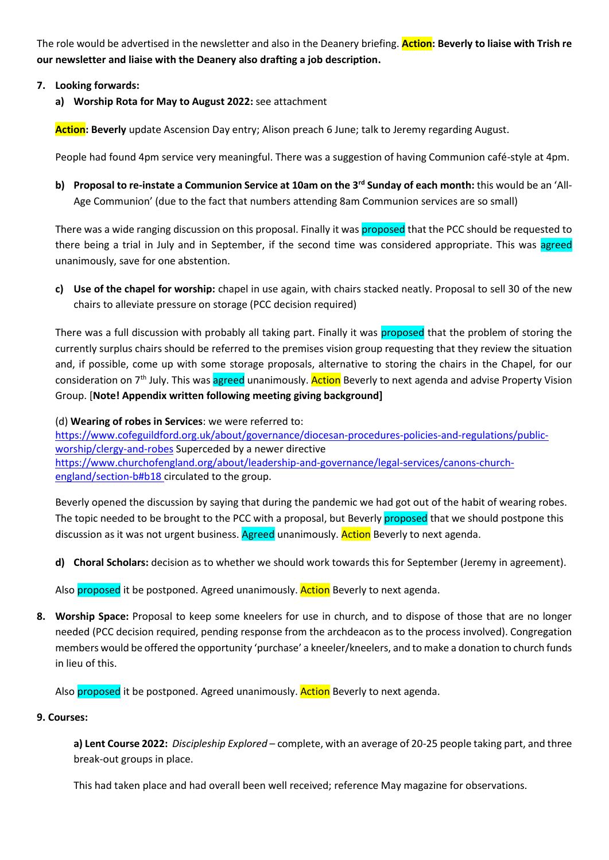The role would be advertised in the newsletter and also in the Deanery briefing. **Action: Beverly to liaise with Trish re our newsletter and liaise with the Deanery also drafting a job description.** 

## **7. Looking forwards:**

**a) Worship Rota for May to August 2022:** see attachment

**Action: Beverly** update Ascension Day entry; Alison preach 6 June; talk to Jeremy regarding August.

People had found 4pm service very meaningful. There was a suggestion of having Communion café-style at 4pm.

**b) Proposal to re-instate a Communion Service at 10am on the 3rd Sunday of each month:** this would be an 'All-Age Communion' (due to the fact that numbers attending 8am Communion services are so small)

There was a wide ranging discussion on this proposal. Finally it was proposed that the PCC should be requested to there being a trial in July and in September, if the second time was considered appropriate. This was agreed unanimously, save for one abstention.

**c) Use of the chapel for worship:** chapel in use again, with chairs stacked neatly. Proposal to sell 30 of the new chairs to alleviate pressure on storage (PCC decision required)

There was a full discussion with probably all taking part. Finally it was proposed that the problem of storing the currently surplus chairs should be referred to the premises vision group requesting that they review the situation and, if possible, come up with some storage proposals, alternative to storing the chairs in the Chapel, for our consideration on 7<sup>th</sup> July. This was agreed unanimously. Action Beverly to next agenda and advise Property Vision Group. [**Note! Appendix written following meeting giving background]**

(d) **Wearing of robes in Services**: we were referred to: [https://www.cofeguildford.org.uk/about/governance/diocesan-procedures-policies-and-regulations/public](https://www.cofeguildford.org.uk/about/governance/diocesan-procedures-policies-and-regulations/public-worship/clergy-and-robes)[worship/clergy-and-robes](https://www.cofeguildford.org.uk/about/governance/diocesan-procedures-policies-and-regulations/public-worship/clergy-and-robes) Superceded by a newer directive [https://www.churchofengland.org/about/leadership-and-governance/legal-services/canons-church](https://www.churchofengland.org/about/leadership-and-governance/legal-services/canons-church-england/section-b#b18)[england/section-b#b18](https://www.churchofengland.org/about/leadership-and-governance/legal-services/canons-church-england/section-b#b18) circulated to the group.

Beverly opened the discussion by saying that during the pandemic we had got out of the habit of wearing robes. The topic needed to be brought to the PCC with a proposal, but Beverly proposed that we should postpone this discussion as it was not urgent business. Agreed unanimously. Action Beverly to next agenda.

**d) Choral Scholars:** decision as to whether we should work towards this for September (Jeremy in agreement).

Also proposed it be postponed. Agreed unanimously. Action Beverly to next agenda.

**8. Worship Space:** Proposal to keep some kneelers for use in church, and to dispose of those that are no longer needed (PCC decision required, pending response from the archdeacon as to the process involved). Congregation members would be offered the opportunity 'purchase' a kneeler/kneelers, and to make a donation to church funds in lieu of this.

Also proposed it be postponed. Agreed unanimously. Action Beverly to next agenda.

### **9. Courses:**

**a) Lent Course 2022:** *Discipleship Explored* – complete, with an average of 20-25 people taking part, and three break-out groups in place.

This had taken place and had overall been well received; reference May magazine for observations.